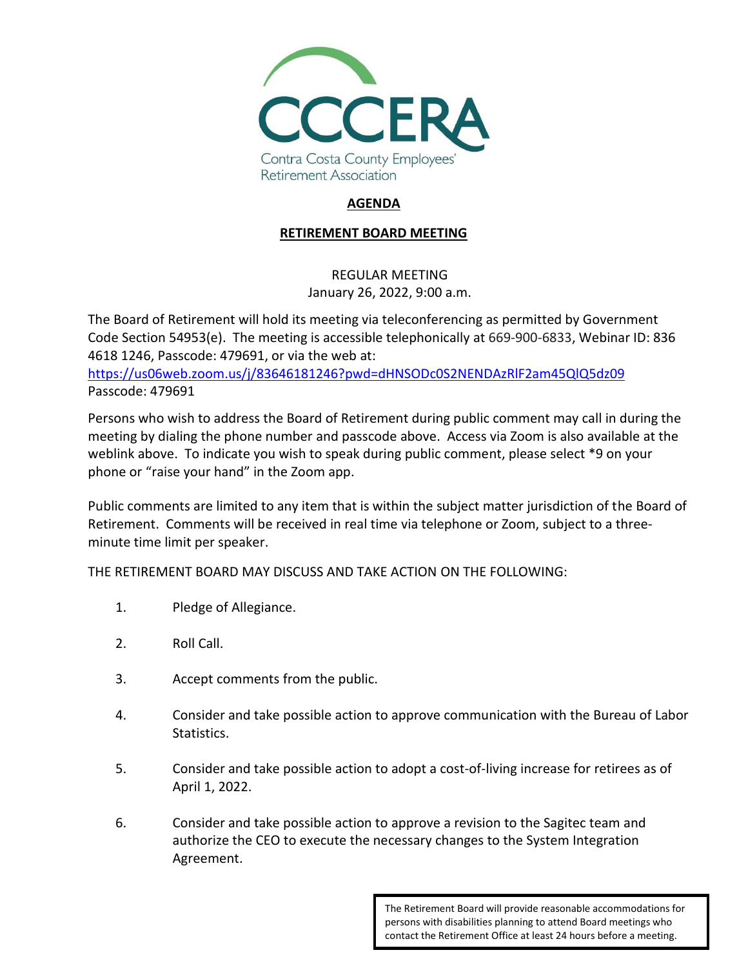

## **AGENDA**

## **RETIREMENT BOARD MEETING**

## REGULAR MEETING January 26, 2022, 9:00 a.m.

The Board of Retirement will hold its meeting via teleconferencing as permitted by Government Code Section 54953(e). The meeting is accessible telephonically at 669-900-6833, Webinar ID: 836 4618 1246, Passcode: 479691, or via the web at:

<https://us06web.zoom.us/j/83646181246?pwd=dHNSODc0S2NENDAzRlF2am45QlQ5dz09> Passcode: 479691

Persons who wish to address the Board of Retirement during public comment may call in during the meeting by dialing the phone number and passcode above. Access via Zoom is also available at the weblink above. To indicate you wish to speak during public comment, please select \*9 on your phone or "raise your hand" in the Zoom app.

Public comments are limited to any item that is within the subject matter jurisdiction of the Board of Retirement. Comments will be received in real time via telephone or Zoom, subject to a threeminute time limit per speaker.

THE RETIREMENT BOARD MAY DISCUSS AND TAKE ACTION ON THE FOLLOWING:

- 1. Pledge of Allegiance.
- 2. Roll Call.
- 3. Accept comments from the public.
- 4. Consider and take possible action to approve communication with the Bureau of Labor Statistics.
- 5. Consider and take possible action to adopt a cost-of-living increase for retirees as of April 1, 2022.
- 6. Consider and take possible action to approve a revision to the Sagitec team and authorize the CEO to execute the necessary changes to the System Integration Agreement.

The Retirement Board will provide reasonable accommodations for persons with disabilities planning to attend Board meetings who contact the Retirement Office at least 24 hours before a meeting.